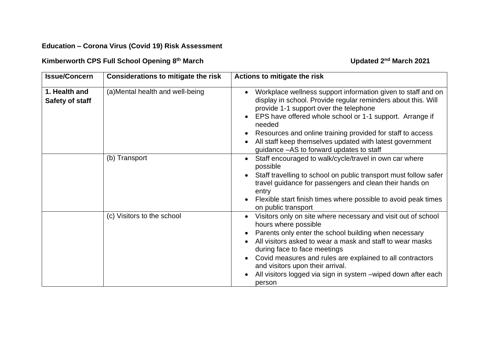## **Education – Corona Virus (Covid 19) Risk Assessment**

## **Kimberworth CPS Full School Opening 8**

## **th March Updated 2 nd March 2021**

| <b>Issue/Concern</b>             | <b>Considerations to mitigate the risk</b> | Actions to mitigate the risk                                                                                                                                                                                                                                                                                                                                                                                                                                             |
|----------------------------------|--------------------------------------------|--------------------------------------------------------------------------------------------------------------------------------------------------------------------------------------------------------------------------------------------------------------------------------------------------------------------------------------------------------------------------------------------------------------------------------------------------------------------------|
| 1. Health and<br>Safety of staff | (a) Mental health and well-being           | Workplace wellness support information given to staff and on<br>$\bullet$<br>display in school. Provide regular reminders about this. Will<br>provide 1-1 support over the telephone<br>EPS have offered whole school or 1-1 support. Arrange if<br>$\bullet$<br>needed<br>Resources and online training provided for staff to access<br>$\bullet$<br>All staff keep themselves updated with latest government<br>$\bullet$<br>guidance - AS to forward updates to staff |
|                                  | (b) Transport                              | Staff encouraged to walk/cycle/travel in own car where<br>$\bullet$<br>possible<br>Staff travelling to school on public transport must follow safer<br>travel guidance for passengers and clean their hands on<br>entry<br>Flexible start finish times where possible to avoid peak times<br>$\bullet$<br>on public transport                                                                                                                                            |
|                                  | (c) Visitors to the school                 | Visitors only on site where necessary and visit out of school<br>$\bullet$<br>hours where possible<br>Parents only enter the school building when necessary<br>All visitors asked to wear a mask and staff to wear masks<br>during face to face meetings<br>Covid measures and rules are explained to all contractors<br>and visitors upon their arrival.<br>All visitors logged via sign in system – wiped down after each<br>$\bullet$<br>person                       |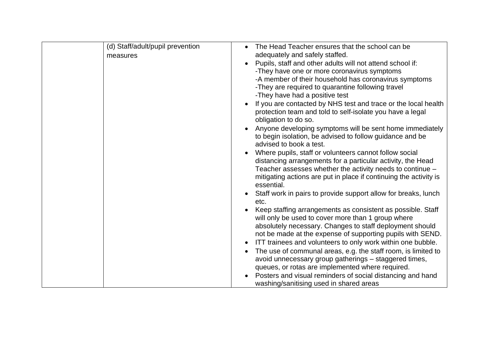| (d) Staff/adult/pupil prevention | The Head Teacher ensures that the school can be                                                           |
|----------------------------------|-----------------------------------------------------------------------------------------------------------|
| measures                         | adequately and safely staffed.                                                                            |
|                                  | Pupils, staff and other adults will not attend school if:                                                 |
|                                  | -They have one or more coronavirus symptoms                                                               |
|                                  | -A member of their household has coronavirus symptoms                                                     |
|                                  | -They are required to quarantine following travel                                                         |
|                                  | -They have had a positive test                                                                            |
|                                  | If you are contacted by NHS test and trace or the local health                                            |
|                                  | protection team and told to self-isolate you have a legal                                                 |
|                                  | obligation to do so.                                                                                      |
|                                  | Anyone developing symptoms will be sent home immediately                                                  |
|                                  | to begin isolation, be advised to follow guidance and be                                                  |
|                                  | advised to book a test.                                                                                   |
|                                  | Where pupils, staff or volunteers cannot follow social                                                    |
|                                  | distancing arrangements for a particular activity, the Head                                               |
|                                  | Teacher assesses whether the activity needs to continue -                                                 |
|                                  | mitigating actions are put in place if continuing the activity is                                         |
|                                  | essential.                                                                                                |
|                                  | Staff work in pairs to provide support allow for breaks, lunch                                            |
|                                  | etc.                                                                                                      |
|                                  | Keep staffing arrangements as consistent as possible. Staff                                               |
|                                  | will only be used to cover more than 1 group where                                                        |
|                                  | absolutely necessary. Changes to staff deployment should                                                  |
|                                  | not be made at the expense of supporting pupils with SEND.                                                |
|                                  | ITT trainees and volunteers to only work within one bubble.                                               |
|                                  | The use of communal areas, e.g. the staff room, is limited to                                             |
|                                  | avoid unnecessary group gatherings - staggered times,<br>queues, or rotas are implemented where required. |
|                                  | Posters and visual reminders of social distancing and hand                                                |
|                                  | washing/sanitising used in shared areas                                                                   |
|                                  |                                                                                                           |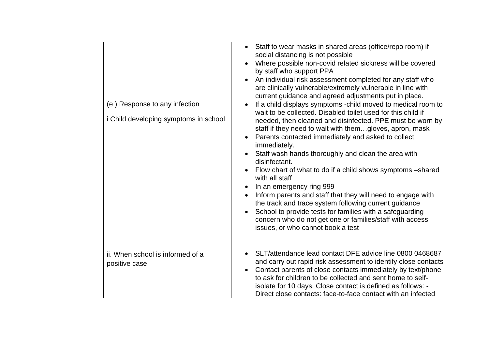|                                                                        | Staff to wear masks in shared areas (office/repo room) if<br>social distancing is not possible<br>Where possible non-covid related sickness will be covered<br>by staff who support PPA<br>An individual risk assessment completed for any staff who<br>are clinically vulnerable/extremely vulnerable in line with                                                                                                                                                                                                                                                                                                                                                                                                                                                                                              |
|------------------------------------------------------------------------|------------------------------------------------------------------------------------------------------------------------------------------------------------------------------------------------------------------------------------------------------------------------------------------------------------------------------------------------------------------------------------------------------------------------------------------------------------------------------------------------------------------------------------------------------------------------------------------------------------------------------------------------------------------------------------------------------------------------------------------------------------------------------------------------------------------|
|                                                                        | current guidance and agreed adjustments put in place.                                                                                                                                                                                                                                                                                                                                                                                                                                                                                                                                                                                                                                                                                                                                                            |
| (e) Response to any infection<br>i Child developing symptoms in school | If a child displays symptoms -child moved to medical room to<br>wait to be collected. Disabled toilet used for this child if<br>needed, then cleaned and disinfected. PPE must be worn by<br>staff if they need to wait with themgloves, apron, mask<br>Parents contacted immediately and asked to collect<br>immediately.<br>Staff wash hands thoroughly and clean the area with<br>disinfectant.<br>Flow chart of what to do if a child shows symptoms -shared<br>with all staff<br>In an emergency ring 999<br>$\bullet$<br>Inform parents and staff that they will need to engage with<br>the track and trace system following current guidance<br>School to provide tests for families with a safeguarding<br>concern who do not get one or families/staff with access<br>issues, or who cannot book a test |
| ii. When school is informed of a<br>positive case                      | SLT/attendance lead contact DFE advice line 0800 0468687<br>and carry out rapid risk assessment to identify close contacts<br>Contact parents of close contacts immediately by text/phone<br>to ask for children to be collected and sent home to self-<br>isolate for 10 days. Close contact is defined as follows: -<br>Direct close contacts: face-to-face contact with an infected                                                                                                                                                                                                                                                                                                                                                                                                                           |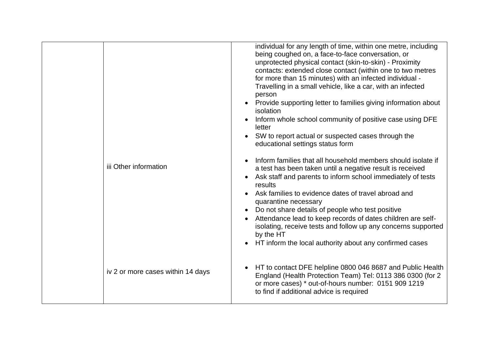| iii Other information             | individual for any length of time, within one metre, including<br>being coughed on, a face-to-face conversation, or<br>unprotected physical contact (skin-to-skin) - Proximity<br>contacts: extended close contact (within one to two metres<br>for more than 15 minutes) with an infected individual -<br>Travelling in a small vehicle, like a car, with an infected<br>person<br>Provide supporting letter to families giving information about<br>isolation<br>Inform whole school community of positive case using DFE<br>letter<br>SW to report actual or suspected cases through the<br>educational settings status form<br>Inform families that all household members should isolate if<br>a test has been taken until a negative result is received<br>Ask staff and parents to inform school immediately of tests<br>results<br>Ask families to evidence dates of travel abroad and<br>quarantine necessary<br>Do not share details of people who test positive<br>Attendance lead to keep records of dates children are self-<br>isolating, receive tests and follow up any concerns supported<br>by the HT<br>HT inform the local authority about any confirmed cases |
|-----------------------------------|-----------------------------------------------------------------------------------------------------------------------------------------------------------------------------------------------------------------------------------------------------------------------------------------------------------------------------------------------------------------------------------------------------------------------------------------------------------------------------------------------------------------------------------------------------------------------------------------------------------------------------------------------------------------------------------------------------------------------------------------------------------------------------------------------------------------------------------------------------------------------------------------------------------------------------------------------------------------------------------------------------------------------------------------------------------------------------------------------------------------------------------------------------------------------------------|
| iv 2 or more cases within 14 days | HT to contact DFE helpline 0800 046 8687 and Public Health<br>$\bullet$<br>England (Health Protection Team) Tel: 0113 386 0300 (for 2<br>or more cases) * out-of-hours number: 0151 909 1219<br>to find if additional advice is required                                                                                                                                                                                                                                                                                                                                                                                                                                                                                                                                                                                                                                                                                                                                                                                                                                                                                                                                          |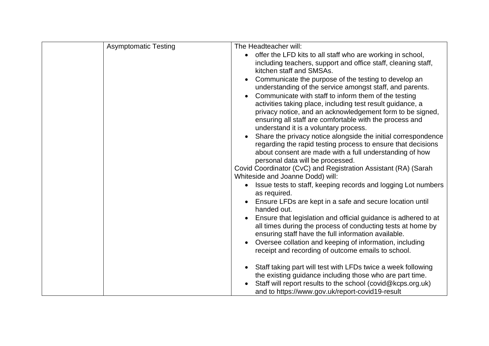| <b>Asymptomatic Testing</b> | The Headteacher will:                                                                                                         |
|-----------------------------|-------------------------------------------------------------------------------------------------------------------------------|
|                             | offer the LFD kits to all staff who are working in school,<br>$\bullet$                                                       |
|                             | including teachers, support and office staff, cleaning staff,<br>kitchen staff and SMSAs.                                     |
|                             | Communicate the purpose of the testing to develop an<br>understanding of the service amongst staff, and parents.              |
|                             | Communicate with staff to inform them of the testing<br>activities taking place, including test result guidance, a            |
|                             | privacy notice, and an acknowledgement form to be signed,<br>ensuring all staff are comfortable with the process and          |
|                             | understand it is a voluntary process.                                                                                         |
|                             | Share the privacy notice alongside the initial correspondence<br>regarding the rapid testing process to ensure that decisions |
|                             | about consent are made with a full understanding of how                                                                       |
|                             | personal data will be processed.<br>Covid Coordinator (CvC) and Registration Assistant (RA) (Sarah                            |
|                             | Whiteside and Joanne Dodd) will:                                                                                              |
|                             | Issue tests to staff, keeping records and logging Lot numbers<br>as required.                                                 |
|                             | Ensure LFDs are kept in a safe and secure location until                                                                      |
|                             | handed out.                                                                                                                   |
|                             | Ensure that legislation and official guidance is adhered to at                                                                |
|                             | all times during the process of conducting tests at home by<br>ensuring staff have the full information available.            |
|                             | Oversee collation and keeping of information, including<br>$\bullet$                                                          |
|                             | receipt and recording of outcome emails to school.                                                                            |
|                             | Staff taking part will test with LFDs twice a week following<br>$\bullet$                                                     |
|                             | the existing guidance including those who are part time.                                                                      |
|                             | Staff will report results to the school (covid@kcps.org.uk)<br>and to https://www.gov.uk/report-covid19-result                |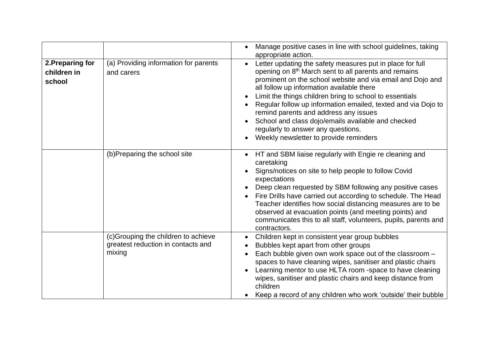|                                           |                                                                                     | Manage positive cases in line with school guidelines, taking<br>appropriate action.                                                                                                                                                                                                                                                                                                                                                                                                                                                                 |
|-------------------------------------------|-------------------------------------------------------------------------------------|-----------------------------------------------------------------------------------------------------------------------------------------------------------------------------------------------------------------------------------------------------------------------------------------------------------------------------------------------------------------------------------------------------------------------------------------------------------------------------------------------------------------------------------------------------|
| 2. Preparing for<br>children in<br>school | (a) Providing information for parents<br>and carers                                 | Letter updating the safety measures put in place for full<br>opening on 8 <sup>th</sup> March sent to all parents and remains<br>prominent on the school website and via email and Dojo and<br>all follow up information available there<br>Limit the things children bring to school to essentials<br>Regular follow up information emailed, texted and via Dojo to<br>remind parents and address any issues<br>School and class dojo/emails available and checked<br>regularly to answer any questions.<br>Weekly newsletter to provide reminders |
|                                           | (b)Preparing the school site                                                        | HT and SBM liaise regularly with Engie re cleaning and<br>caretaking<br>Signs/notices on site to help people to follow Covid<br>expectations<br>Deep clean requested by SBM following any positive cases<br>Fire Drills have carried out according to schedule. The Head<br>Teacher identifies how social distancing measures are to be<br>observed at evacuation points (and meeting points) and<br>communicates this to all staff, volunteers, pupils, parents and<br>contractors.                                                                |
|                                           | (c)Grouping the children to achieve<br>greatest reduction in contacts and<br>mixing | Children kept in consistent year group bubbles<br>Bubbles kept apart from other groups<br>Each bubble given own work space out of the classroom -<br>spaces to have cleaning wipes, sanitiser and plastic chairs<br>Learning mentor to use HLTA room -space to have cleaning<br>wipes, sanitiser and plastic chairs and keep distance from<br>children<br>Keep a record of any children who work 'outside' their bubble                                                                                                                             |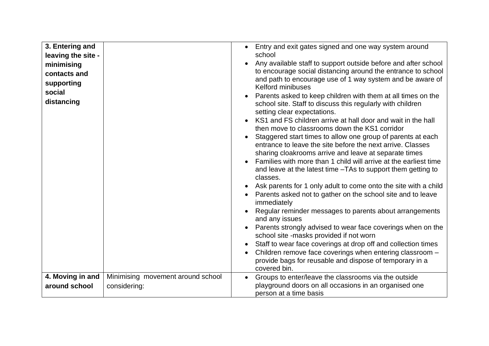| 3. Entering and<br>leaving the site -<br>minimising<br>contacts and<br>supporting<br>social<br>distancing |                                                   | Entry and exit gates signed and one way system around<br>$\bullet$<br>school<br>Any available staff to support outside before and after school<br>to encourage social distancing around the entrance to school<br>and path to encourage use of 1 way system and be aware of<br><b>Kelford minibuses</b><br>Parents asked to keep children with them at all times on the<br>school site. Staff to discuss this regularly with children<br>setting clear expectations.<br>KS1 and FS children arrive at hall door and wait in the hall<br>then move to classrooms down the KS1 corridor<br>Staggered start times to allow one group of parents at each<br>entrance to leave the site before the next arrive. Classes<br>sharing cloakrooms arrive and leave at separate times<br>Families with more than 1 child will arrive at the earliest time<br>and leave at the latest time -TAs to support them getting to<br>classes.<br>Ask parents for 1 only adult to come onto the site with a child<br>Parents asked not to gather on the school site and to leave<br>immediately<br>Regular reminder messages to parents about arrangements<br>and any issues<br>Parents strongly advised to wear face coverings when on the<br>school site -masks provided if not worn<br>Staff to wear face coverings at drop off and collection times<br>Children remove face coverings when entering classroom -<br>$\bullet$<br>provide bags for reusable and dispose of temporary in a<br>covered bin. |
|-----------------------------------------------------------------------------------------------------------|---------------------------------------------------|------------------------------------------------------------------------------------------------------------------------------------------------------------------------------------------------------------------------------------------------------------------------------------------------------------------------------------------------------------------------------------------------------------------------------------------------------------------------------------------------------------------------------------------------------------------------------------------------------------------------------------------------------------------------------------------------------------------------------------------------------------------------------------------------------------------------------------------------------------------------------------------------------------------------------------------------------------------------------------------------------------------------------------------------------------------------------------------------------------------------------------------------------------------------------------------------------------------------------------------------------------------------------------------------------------------------------------------------------------------------------------------------------------------------------------------------------------------------------------------|
| 4. Moving in and<br>around school                                                                         | Minimising movement around school<br>considering: | Groups to enter/leave the classrooms via the outside<br>$\bullet$<br>playground doors on all occasions in an organised one<br>person at a time basis                                                                                                                                                                                                                                                                                                                                                                                                                                                                                                                                                                                                                                                                                                                                                                                                                                                                                                                                                                                                                                                                                                                                                                                                                                                                                                                                     |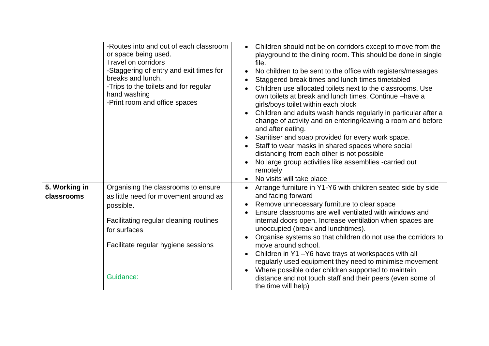| or space being used.<br>Travel on corridors<br>breaks and lunch.<br>hand washing<br>-Print room and office spaces | -Routes into and out of each classroom<br>-Staggering of entry and exit times for<br>-Trips to the toilets and for regular                                    | Children should not be on corridors except to move from the<br>$\bullet$<br>playground to the dining room. This should be done in single<br>file.<br>No children to be sent to the office with registers/messages<br>Staggered break times and lunch times timetabled<br>Children use allocated toilets next to the classrooms. Use<br>own toilets at break and lunch times. Continue -have a<br>girls/boys toilet within each block<br>Children and adults wash hands regularly in particular after a<br>change of activity and on entering/leaving a room and before<br>and after eating.<br>Sanitiser and soap provided for every work space.<br>Staff to wear masks in shared spaces where social<br>distancing from each other is not possible<br>No large group activities like assemblies -carried out<br>remotely<br>No visits will take place |
|-------------------------------------------------------------------------------------------------------------------|---------------------------------------------------------------------------------------------------------------------------------------------------------------|--------------------------------------------------------------------------------------------------------------------------------------------------------------------------------------------------------------------------------------------------------------------------------------------------------------------------------------------------------------------------------------------------------------------------------------------------------------------------------------------------------------------------------------------------------------------------------------------------------------------------------------------------------------------------------------------------------------------------------------------------------------------------------------------------------------------------------------------------------|
| 5. Working in<br>classrooms<br>possible.<br>for surfaces<br>Guidance:                                             | Organising the classrooms to ensure<br>as little need for movement around as<br>Facilitating regular cleaning routines<br>Facilitate regular hygiene sessions | Arrange furniture in Y1-Y6 with children seated side by side<br>and facing forward<br>Remove unnecessary furniture to clear space<br>$\bullet$<br>Ensure classrooms are well ventilated with windows and<br>internal doors open. Increase ventilation when spaces are<br>unoccupied (break and lunchtimes).<br>Organise systems so that children do not use the corridors to<br>move around school.<br>Children in Y1-Y6 have trays at workspaces with all<br>regularly used equipment they need to minimise movement<br>Where possible older children supported to maintain<br>distance and not touch staff and their peers (even some of<br>the time will help)                                                                                                                                                                                      |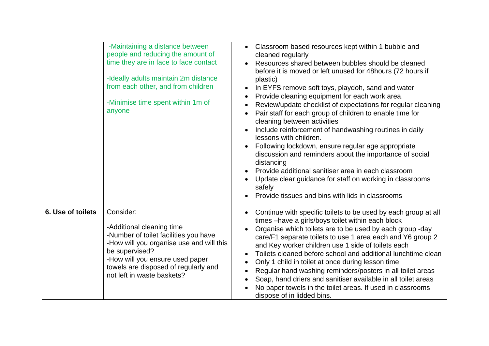|                   | -Maintaining a distance between<br>people and reducing the amount of<br>time they are in face to face contact<br>-Ideally adults maintain 2m distance<br>from each other, and from children<br>-Minimise time spent within 1m of<br>anyone             | Classroom based resources kept within 1 bubble and<br>$\bullet$<br>cleaned regularly<br>Resources shared between bubbles should be cleaned<br>$\bullet$<br>before it is moved or left unused for 48 hours (72 hours if<br>plastic)<br>In EYFS remove soft toys, playdoh, sand and water<br>$\bullet$<br>Provide cleaning equipment for each work area.<br>$\bullet$<br>Review/update checklist of expectations for regular cleaning<br>$\bullet$<br>Pair staff for each group of children to enable time for<br>cleaning between activities<br>Include reinforcement of handwashing routines in daily<br>$\bullet$<br>lessons with children.<br>Following lockdown, ensure regular age appropriate<br>$\bullet$<br>discussion and reminders about the importance of social<br>distancing<br>Provide additional sanitiser area in each classroom<br>$\bullet$<br>Update clear guidance for staff on working in classrooms<br>safely<br>Provide tissues and bins with lids in classrooms |
|-------------------|--------------------------------------------------------------------------------------------------------------------------------------------------------------------------------------------------------------------------------------------------------|----------------------------------------------------------------------------------------------------------------------------------------------------------------------------------------------------------------------------------------------------------------------------------------------------------------------------------------------------------------------------------------------------------------------------------------------------------------------------------------------------------------------------------------------------------------------------------------------------------------------------------------------------------------------------------------------------------------------------------------------------------------------------------------------------------------------------------------------------------------------------------------------------------------------------------------------------------------------------------------|
| 6. Use of toilets | Consider:<br>-Additional cleaning time<br>-Number of toilet facilities you have<br>-How will you organise use and will this<br>be supervised?<br>-How will you ensure used paper<br>towels are disposed of regularly and<br>not left in waste baskets? | Continue with specific toilets to be used by each group at all<br>$\bullet$<br>times -have a girls/boys toilet within each block<br>Organise which toilets are to be used by each group -day<br>$\bullet$<br>care/F1 separate toilets to use 1 area each and Y6 group 2<br>and Key worker children use 1 side of toilets each<br>Toilets cleaned before school and additional lunchtime clean<br>$\bullet$<br>Only 1 child in toilet at once during lesson time<br>$\bullet$<br>Regular hand washing reminders/posters in all toilet areas<br>$\bullet$<br>Soap, hand driers and sanitiser available in all toilet areas<br>No paper towels in the toilet areas. If used in classrooms<br>dispose of in lidded bins.                                                                                                                                                                                                                                                                   |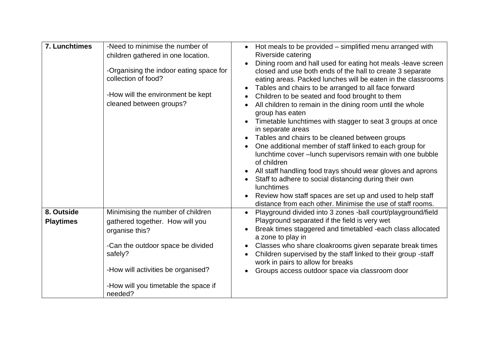| 7. Lunchtimes    | -Need to minimise the number of<br>children gathered in one location.<br>-Organising the indoor eating space for<br>collection of food?<br>-How will the environment be kept<br>cleaned between groups? | • Hot meals to be provided – simplified menu arranged with<br>Riverside catering<br>Dining room and hall used for eating hot meals -leave screen<br>closed and use both ends of the hall to create 3 separate<br>eating areas. Packed lunches will be eaten in the classrooms<br>Tables and chairs to be arranged to all face forward<br>Children to be seated and food brought to them<br>All children to remain in the dining room until the whole<br>group has eaten<br>Timetable lunchtimes with stagger to seat 3 groups at once<br>in separate areas<br>Tables and chairs to be cleaned between groups<br>One additional member of staff linked to each group for<br>lunchtime cover - lunch supervisors remain with one bubble<br>of children<br>All staff handling food trays should wear gloves and aprons<br>Staff to adhere to social distancing during their own<br>lunchtimes<br>Review how staff spaces are set up and used to help staff |
|------------------|---------------------------------------------------------------------------------------------------------------------------------------------------------------------------------------------------------|---------------------------------------------------------------------------------------------------------------------------------------------------------------------------------------------------------------------------------------------------------------------------------------------------------------------------------------------------------------------------------------------------------------------------------------------------------------------------------------------------------------------------------------------------------------------------------------------------------------------------------------------------------------------------------------------------------------------------------------------------------------------------------------------------------------------------------------------------------------------------------------------------------------------------------------------------------|
| 8. Outside       | Minimising the number of children                                                                                                                                                                       | distance from each other. Minimise the use of staff rooms.<br>Playground divided into 3 zones -ball court/playground/field                                                                                                                                                                                                                                                                                                                                                                                                                                                                                                                                                                                                                                                                                                                                                                                                                              |
| <b>Playtimes</b> | gathered together. How will you<br>organise this?<br>-Can the outdoor space be divided                                                                                                                  | Playground separated if the field is very wet<br>Break times staggered and timetabled -each class allocated<br>a zone to play in<br>Classes who share cloakrooms given separate break times<br>$\bullet$                                                                                                                                                                                                                                                                                                                                                                                                                                                                                                                                                                                                                                                                                                                                                |
|                  | safely?                                                                                                                                                                                                 | Children supervised by the staff linked to their group -staff<br>work in pairs to allow for breaks                                                                                                                                                                                                                                                                                                                                                                                                                                                                                                                                                                                                                                                                                                                                                                                                                                                      |
|                  | -How will activities be organised?                                                                                                                                                                      | Groups access outdoor space via classroom door                                                                                                                                                                                                                                                                                                                                                                                                                                                                                                                                                                                                                                                                                                                                                                                                                                                                                                          |
|                  | -How will you timetable the space if<br>needed?                                                                                                                                                         |                                                                                                                                                                                                                                                                                                                                                                                                                                                                                                                                                                                                                                                                                                                                                                                                                                                                                                                                                         |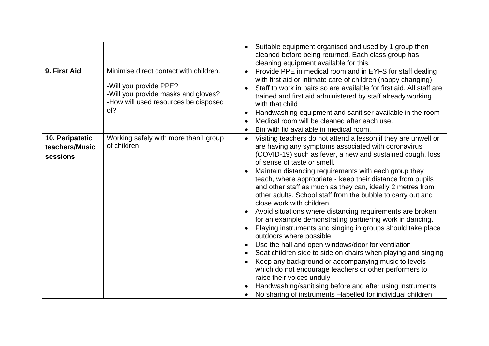|                                               |                                                                                                                                                        | Suitable equipment organised and used by 1 group then<br>cleaned before being returned. Each class group has<br>cleaning equipment available for this.                                                                                                                                                                                                                                                                                                                                                                                                                                                                                                                                                                                                                                                                                                                                                                                                                                                                                                                                                                                |
|-----------------------------------------------|--------------------------------------------------------------------------------------------------------------------------------------------------------|---------------------------------------------------------------------------------------------------------------------------------------------------------------------------------------------------------------------------------------------------------------------------------------------------------------------------------------------------------------------------------------------------------------------------------------------------------------------------------------------------------------------------------------------------------------------------------------------------------------------------------------------------------------------------------------------------------------------------------------------------------------------------------------------------------------------------------------------------------------------------------------------------------------------------------------------------------------------------------------------------------------------------------------------------------------------------------------------------------------------------------------|
| 9. First Aid                                  | Minimise direct contact with children.<br>-Will you provide PPE?<br>-Will you provide masks and gloves?<br>-How will used resources be disposed<br>of? | Provide PPE in medical room and in EYFS for staff dealing<br>with first aid or intimate care of children (nappy changing)<br>Staff to work in pairs so are available for first aid. All staff are<br>trained and first aid administered by staff already working<br>with that child<br>Handwashing equipment and sanitiser available in the room<br>Medical room will be cleaned after each use.<br>Bin with lid available in medical room.                                                                                                                                                                                                                                                                                                                                                                                                                                                                                                                                                                                                                                                                                           |
| 10. Peripatetic<br>teachers/Music<br>sessions | Working safely with more than1 group<br>of children                                                                                                    | Visiting teachers do not attend a lesson if they are unwell or<br>$\bullet$<br>are having any symptoms associated with coronavirus<br>(COVID-19) such as fever, a new and sustained cough, loss<br>of sense of taste or smell.<br>Maintain distancing requirements with each group they<br>teach, where appropriate - keep their distance from pupils<br>and other staff as much as they can, ideally 2 metres from<br>other adults. School staff from the bubble to carry out and<br>close work with children.<br>Avoid situations where distancing requirements are broken;<br>for an example demonstrating partnering work in dancing.<br>Playing instruments and singing in groups should take place<br>outdoors where possible<br>Use the hall and open windows/door for ventilation<br>Seat children side to side on chairs when playing and singing<br>Keep any background or accompanying music to levels<br>which do not encourage teachers or other performers to<br>raise their voices unduly<br>Handwashing/sanitising before and after using instruments<br>No sharing of instruments - labelled for individual children |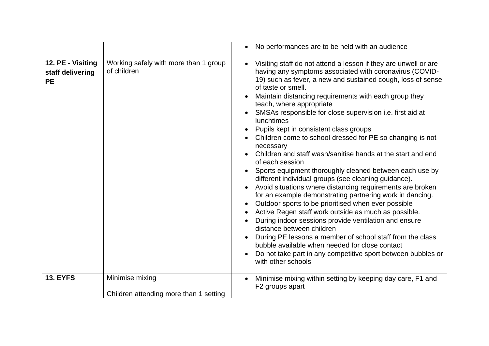|                                                    |                                                           | No performances are to be held with an audience                                                                                                                                                                                                                                                                                                                                                                                                                                                                                                                                                                                                                                                                                                                                                                                                                                                                                                                                                                                                                                                                                                                                                                                                    |
|----------------------------------------------------|-----------------------------------------------------------|----------------------------------------------------------------------------------------------------------------------------------------------------------------------------------------------------------------------------------------------------------------------------------------------------------------------------------------------------------------------------------------------------------------------------------------------------------------------------------------------------------------------------------------------------------------------------------------------------------------------------------------------------------------------------------------------------------------------------------------------------------------------------------------------------------------------------------------------------------------------------------------------------------------------------------------------------------------------------------------------------------------------------------------------------------------------------------------------------------------------------------------------------------------------------------------------------------------------------------------------------|
| 12. PE - Visiting<br>staff delivering<br><b>PE</b> | Working safely with more than 1 group<br>of children      | Visiting staff do not attend a lesson if they are unwell or are<br>having any symptoms associated with coronavirus (COVID-<br>19) such as fever, a new and sustained cough, loss of sense<br>of taste or smell.<br>Maintain distancing requirements with each group they<br>teach, where appropriate<br>SMSAs responsible for close supervision i.e. first aid at<br><b>lunchtimes</b><br>Pupils kept in consistent class groups<br>Children come to school dressed for PE so changing is not<br>necessary<br>Children and staff wash/sanitise hands at the start and end<br>of each session<br>Sports equipment thoroughly cleaned between each use by<br>different individual groups (see cleaning guidance).<br>Avoid situations where distancing requirements are broken<br>for an example demonstrating partnering work in dancing.<br>Outdoor sports to be prioritised when ever possible<br>Active Regen staff work outside as much as possible.<br>During indoor sessions provide ventilation and ensure<br>distance between children<br>During PE lessons a member of school staff from the class<br>bubble available when needed for close contact<br>Do not take part in any competitive sport between bubbles or<br>with other schools |
| <b>13. EYFS</b>                                    | Minimise mixing<br>Children attending more than 1 setting | Minimise mixing within setting by keeping day care, F1 and<br>F <sub>2</sub> groups apart                                                                                                                                                                                                                                                                                                                                                                                                                                                                                                                                                                                                                                                                                                                                                                                                                                                                                                                                                                                                                                                                                                                                                          |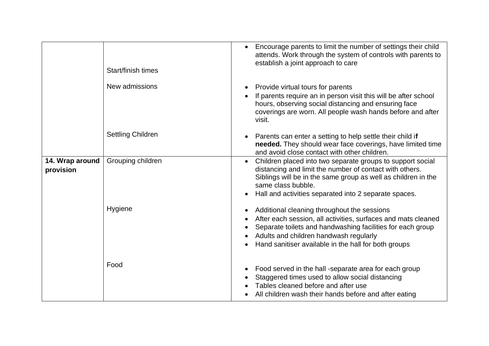|                              | Start/finish times       | Encourage parents to limit the number of settings their child<br>attends. Work through the system of controls with parents to<br>establish a joint approach to care                                                                                                                                    |
|------------------------------|--------------------------|--------------------------------------------------------------------------------------------------------------------------------------------------------------------------------------------------------------------------------------------------------------------------------------------------------|
|                              | New admissions           | Provide virtual tours for parents<br>$\bullet$<br>If parents require an in person visit this will be after school<br>hours, observing social distancing and ensuring face<br>coverings are worn. All people wash hands before and after<br>visit.                                                      |
|                              | <b>Settling Children</b> | Parents can enter a setting to help settle their child if<br>$\bullet$<br>needed. They should wear face coverings, have limited time<br>and avoid close contact with other children.                                                                                                                   |
| 14. Wrap around<br>provision | Grouping children        | Children placed into two separate groups to support social<br>$\bullet$<br>distancing and limit the number of contact with others.<br>Siblings will be in the same group as well as children in the<br>same class bubble.<br>Hall and activities separated into 2 separate spaces.                     |
|                              | Hygiene                  | Additional cleaning throughout the sessions<br>$\bullet$<br>After each session, all activities, surfaces and mats cleaned<br>Separate toilets and handwashing facilities for each group<br>Adults and children handwash regularly<br>Hand sanitiser available in the hall for both groups<br>$\bullet$ |
|                              | Food                     | Food served in the hall -separate area for each group<br>$\bullet$<br>Staggered times used to allow social distancing<br>Tables cleaned before and after use<br>All children wash their hands before and after eating                                                                                  |